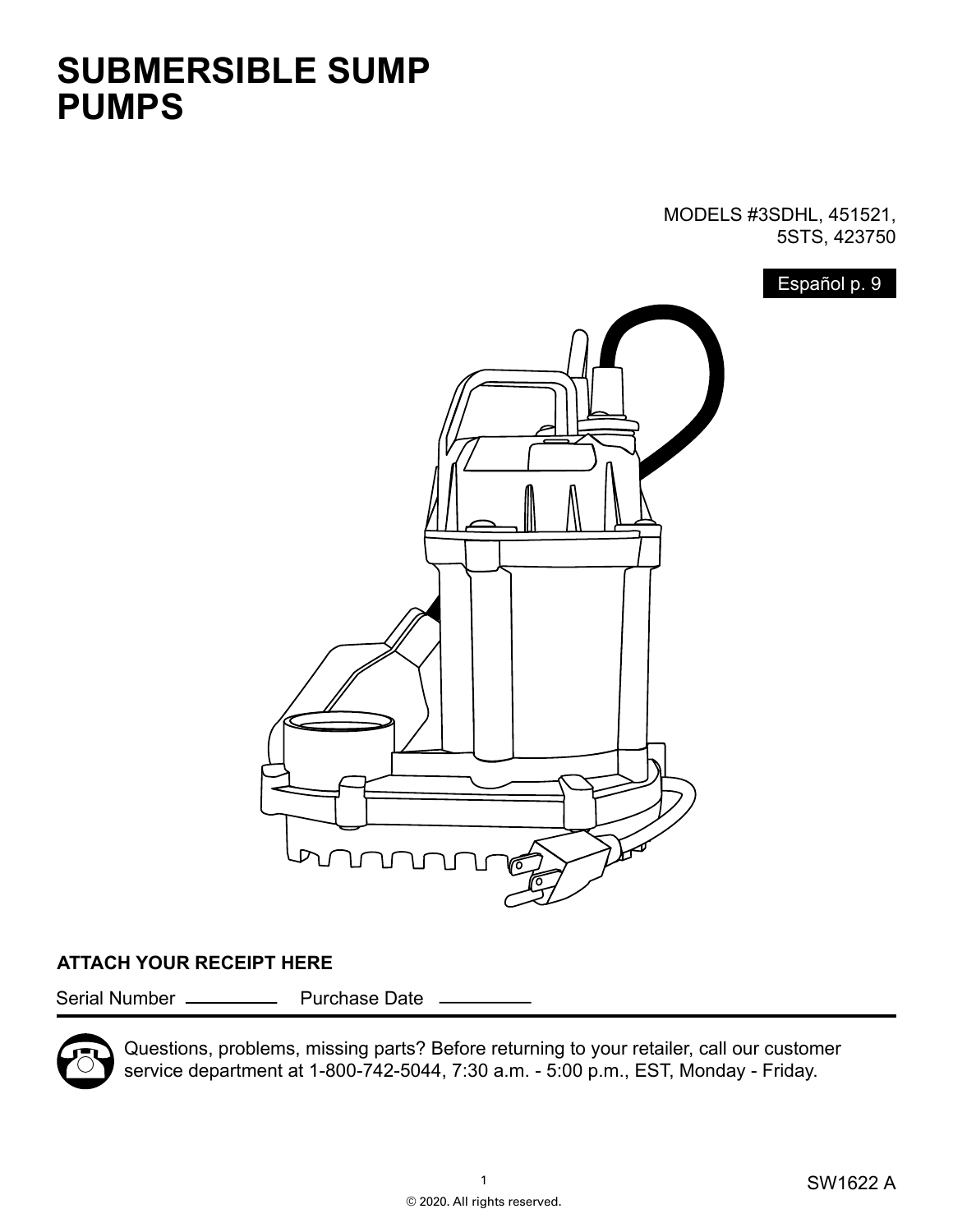## **SUBMERSIBLE SUMP PUMPS**

MODELS #3SDHL, 451521, 5STS, 423750

Español p. 9



#### **ATTACH YOUR RECEIPT HERE**

Serial Number \_\_\_\_\_\_\_\_\_\_\_\_\_ Purchase Date .



Questions, problems, missing parts? Before returning to your retailer, call our customer service department at 1-800-742-5044, 7:30 a.m. - 5:00 p.m., EST, Monday - Friday.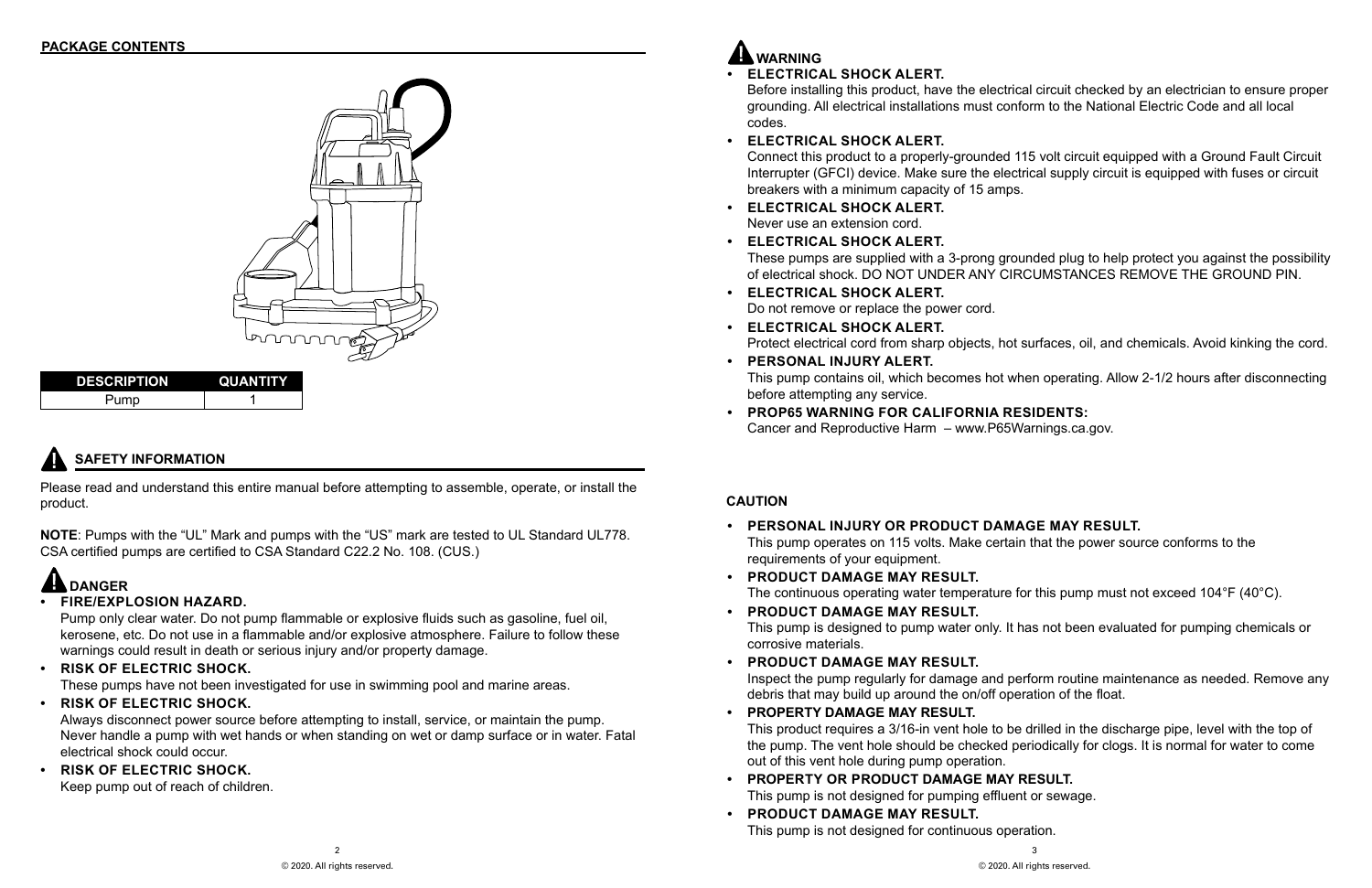3 © 2020. All rights reserved.

## **SAFETY INFORMATION**

## **WARNING**



| <b>DESCRIPTION</b> | <b>QUANTITY</b> |  |
|--------------------|-----------------|--|
|                    |                 |  |

Please read and understand this entire manual before attempting to assemble, operate, or install the product.

**NOTE**: Pumps with the "UL" Mark and pumps with the "US" mark are tested to UL Standard UL778. CSA certified pumps are certified to CSA Standard C22.2 No. 108. (CUS.)

**• ELECTRICAL SHOCK ALERT.** Before installing this product, have the electrical circuit checked by an electrician to ensure proper grounding. All electrical installations must conform to the National Electric Code and all local codes.

### **• ELECTRICAL SHOCK ALERT.**

Connect this product to a properly-grounded 115 volt circuit equipped with a Ground Fault Circuit Interrupter (GFCI) device. Make sure the electrical supply circuit is equipped with fuses or circuit breakers with a minimum capacity of 15 amps.

These pumps are supplied with a 3-prong grounded plug to help protect you against the possibility of electrical shock. DO NOT UNDER ANY CIRCUMSTANCES REMOVE THE GROUND PIN.

- **• ELECTRICAL SHOCK ALERT.** Never use an extension cord.
- **• ELECTRICAL SHOCK ALERT.**
- **• ELECTRICAL SHOCK ALERT.** Do not remove or replace the power cord.
- **• ELECTRICAL SHOCK ALERT.**
- **• PERSONAL INJURY ALERT.** before attempting any service.
- **• PROP65 WARNING FOR CALIFORNIA RESIDENTS:**  Cancer and Reproductive Harm – www.P65Warnings.ca.gov.

Protect electrical cord from sharp objects, hot surfaces, oil, and chemicals. Avoid kinking the cord.

This pump contains oil, which becomes hot when operating. Allow 2-1/2 hours after disconnecting

# **DANGER**

### **• FIRE/EXPLOSION HAZARD.**

Pump only clear water. Do not pump flammable or explosive fluids such as gasoline, fuel oil, kerosene, etc. Do not use in a flammable and/or explosive atmosphere. Failure to follow these warnings could result in death or serious injury and/or property damage.

**• RISK OF ELECTRIC SHOCK.** 

These pumps have not been investigated for use in swimming pool and marine areas.

**• RISK OF ELECTRIC SHOCK.** 

Always disconnect power source before attempting to install, service, or maintain the pump. Never handle a pump with wet hands or when standing on wet or damp surface or in water. Fatal electrical shock could occur.

**• RISK OF ELECTRIC SHOCK.** 

Keep pump out of reach of children.

### **CAUTION**

The continuous operating water temperature for this pump must not exceed 104°F (40°C).

This pump is designed to pump water only. It has not been evaluated for pumping chemicals or

Inspect the pump regularly for damage and perform routine maintenance as needed. Remove any

- **• PERSONAL INJURY OR PRODUCT DAMAGE MAY RESULT.** This pump operates on 115 volts. Make certain that the power source conforms to the requirements of your equipment.
- **• PRODUCT DAMAGE MAY RESULT.**
- **• PRODUCT DAMAGE MAY RESULT.** corrosive materials.
- **• PRODUCT DAMAGE MAY RESULT.** debris that may build up around the on/off operation of the float.
- **• PROPERTY DAMAGE MAY RESULT.** out of this vent hole during pump operation.
- **• PROPERTY OR PRODUCT DAMAGE MAY RESULT.** This pump is not designed for pumping effluent or sewage.
- **• PRODUCT DAMAGE MAY RESULT.** This pump is not designed for continuous operation.

This product requires a 3/16-in vent hole to be drilled in the discharge pipe, level with the top of the pump. The vent hole should be checked periodically for clogs. It is normal for water to come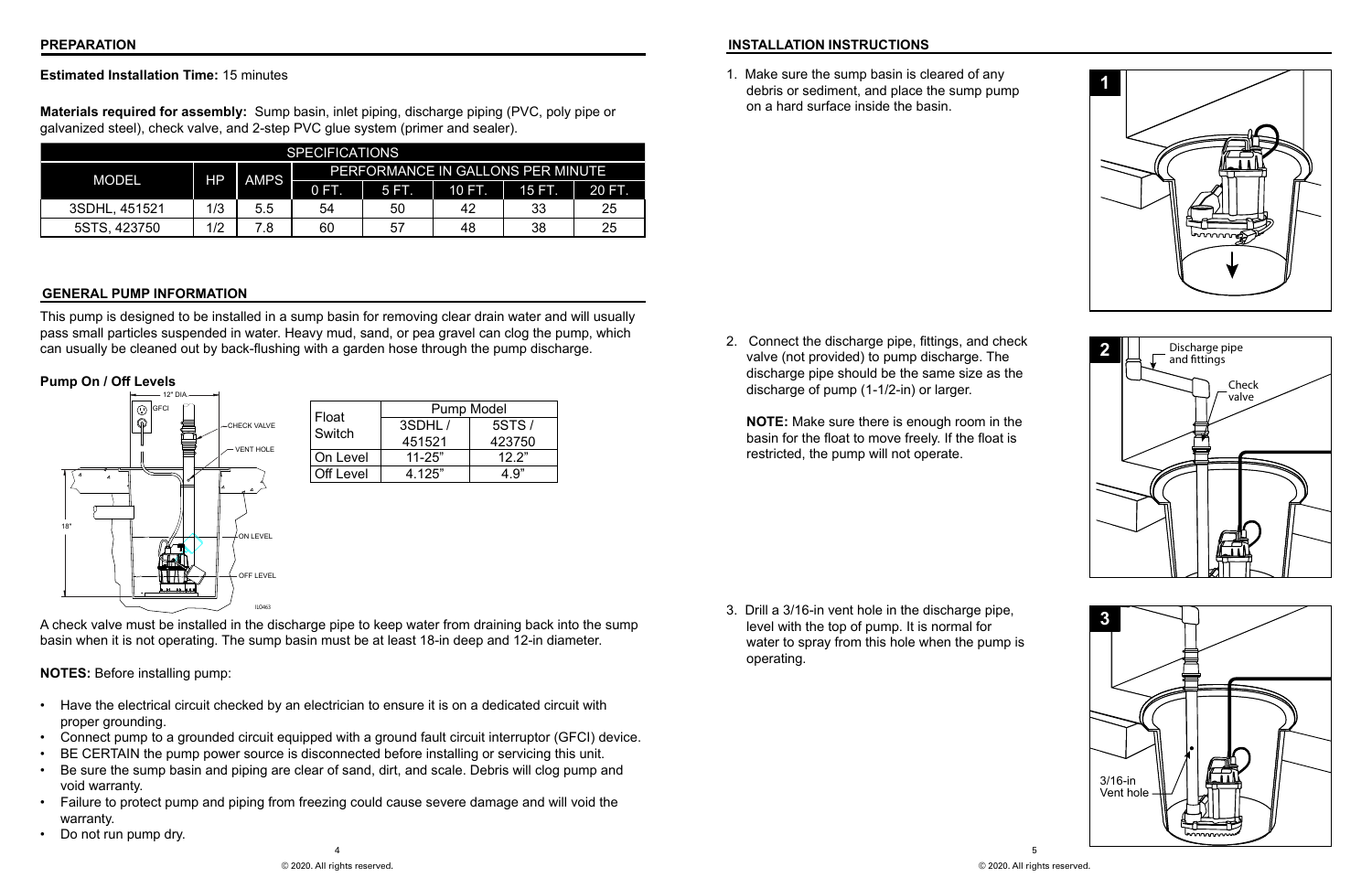#### **PREPARATION**

#### **Estimated Installation Time:** 15 minutes

**Materials required for assembly:** Sump basin, inlet piping, discharge piping (PVC, poly pipe or galvanized steel), check valve, and 2-step PVC glue system (primer and sealer).

- **INSTALLATION INSTRUCTIONS**
- 1. Make sure the sump basin is cleared of any debris or sediment, and place the sump pump on a hard surface inside the basin.





#### **GENERAL PUMP INFORMATION**

This pump is designed to be installed in a sump basin for removing clear drain water and will usually pass small particles suspended in water. Heavy mud, sand, or pea gravel can clog the pump, which can usually be cleaned out by back-flushing with a garden hose through the pump discharge.

#### **Pump On / Off Levels**



A check valve must be installed in the discharge pipe to keep water from draining back into the sump basin when it is not operating. The sump basin must be at least 18-in deep and 12-in diameter.

#### **NOTES:** Before installing pump:

- Have the electrical circuit checked by an electrician to ensure it is on a dedicated circuit with proper grounding.
- Connect pump to a grounded circuit equipped with a ground fault circuit interruptor (GFCI) device.
- BE CERTAIN the pump power source is disconnected before installing or servicing this unit.
- Be sure the sump basin and piping are clear of sand, dirt, and scale. Debris will clog pump and void warranty.
- Failure to protect pump and piping from freezing could cause severe damage and will void the warranty.
- Do not run pump dry.

2. Connect the discharge pipe, fittings, and check valve (not provided) to pump discharge. The discharge pipe should be the same size as the discharge of pump (1-1/2-in) or larger.

**NOTE:** Make sure there is enough room in the basin for the float to move freely. If the float is restricted, the pump will not operate.

3. Drill a 3/16-in vent hole in the discharge pipe, level with the top of pump. It is normal for water to spray from this hole when the pump is operating.







| <b>SPECIFICATIONS</b> |                   |                          |                                   |               |        |              |    |
|-----------------------|-------------------|--------------------------|-----------------------------------|---------------|--------|--------------|----|
| <b>MODEL</b>          |                   |                          | PERFORMANCE IN GALLONS PER MINUTE |               |        |              |    |
|                       | HΡ<br><b>AMPS</b> | $\overline{\text{O}}$ in | <b>5FL</b>                        | <b>TIOFIN</b> | 15 FT. | <b>20 EL</b> |    |
| 3SDHL, 451521         | 1/3               | 5.5                      | 54                                | 50            | 42     | 33           | 25 |
| 5STS, 423750          | 1/2               | 7.8                      | 60                                | 57            | 48     | 38           | 25 |

| Float     |            | <b>Pump Model</b> |
|-----------|------------|-------------------|
| Switch    | 3SDHL/     | 5STS/             |
|           | 451521     | 423750            |
| On Level  | $11 - 25"$ | 12 2"             |
| Off Level | 4 125"     | 4 9"              |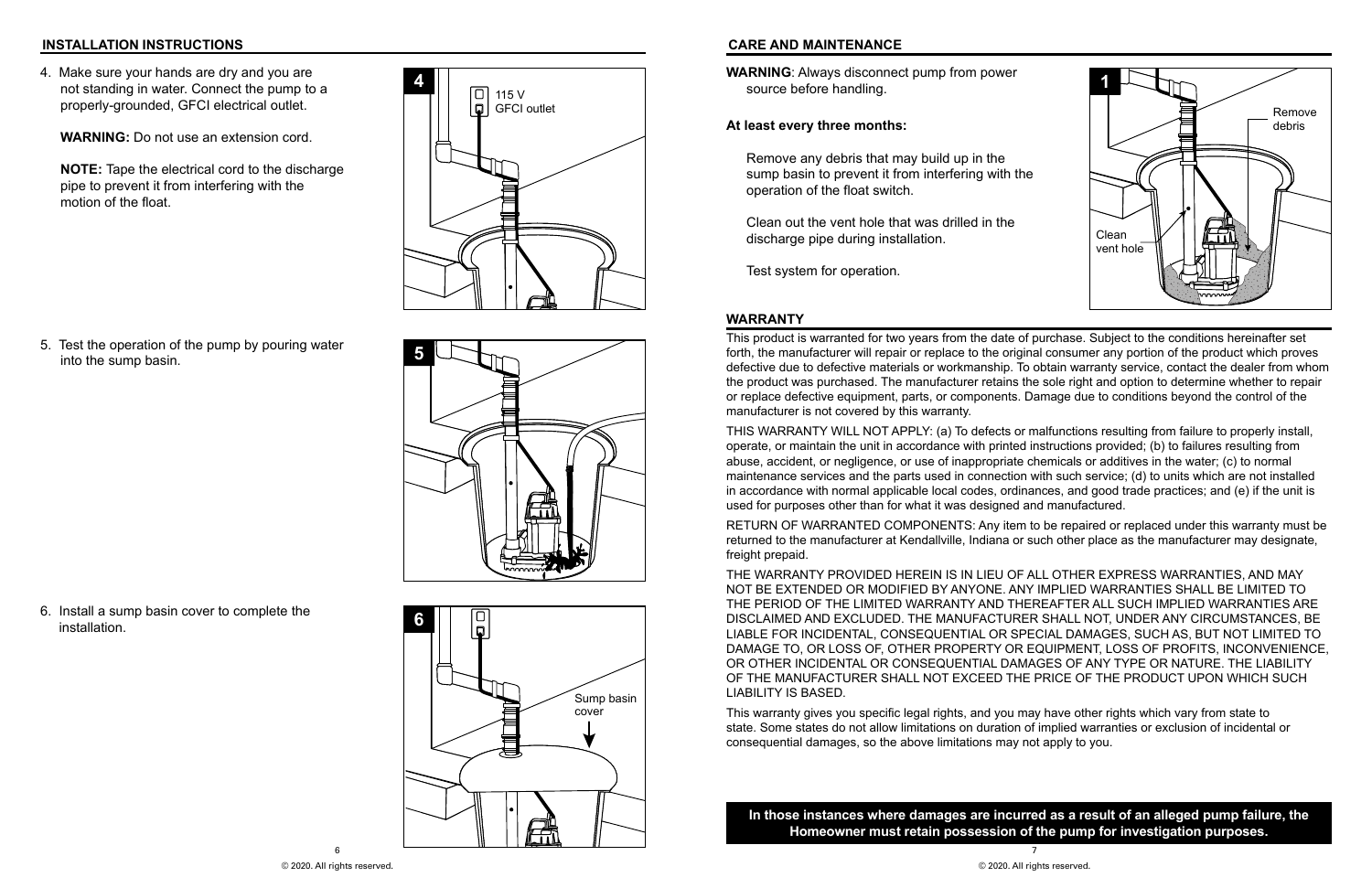7

4. Make sure your hands are dry and you are not standing in water. Connect the pump to a properly-grounded, GFCI electrical outlet.

**WARNING:** Do not use an extension cord.

**NOTE:** Tape the electrical cord to the discharge pipe to prevent it from interfering with the motion of the float.











#### **INSTALLATION INSTRUCTIONS CARE AND MAINTENANCE**

**WARNING**: Always disconnect pump from power source before handling.

#### **At least every three months:**

Remove any debris that may build up in the sump basin to prevent it from interfering with the operation of the float switch.

Clean out the vent hole that was drilled in the discharge pipe during installation.

Test system for operation.



#### **WARRANTY**

This product is warranted for two years from the date of purchase. Subject to the conditions hereinafter set forth, the manufacturer will repair or replace to the original consumer any portion of the product which proves defective due to defective materials or workmanship. To obtain warranty service, contact the dealer from whom the product was purchased. The manufacturer retains the sole right and option to determine whether to repair or replace defective equipment, parts, or components. Damage due to conditions beyond the control of the manufacturer is not covered by this warranty.

THIS WARRANTY WILL NOT APPLY: (a) To defects or malfunctions resulting from failure to properly install, operate, or maintain the unit in accordance with printed instructions provided; (b) to failures resulting from abuse, accident, or negligence, or use of inappropriate chemicals or additives in the water; (c) to normal maintenance services and the parts used in connection with such service; (d) to units which are not installed in accordance with normal applicable local codes, ordinances, and good trade practices; and (e) if the unit is used for purposes other than for what it was designed and manufactured.

RETURN OF WARRANTED COMPONENTS: Any item to be repaired or replaced under this warranty must be returned to the manufacturer at Kendallville, Indiana or such other place as the manufacturer may designate, freight prepaid.

THE WARRANTY PROVIDED HEREIN IS IN LIEU OF ALL OTHER EXPRESS WARRANTIES, AND MAY NOT BE EXTENDED OR MODIFIED BY ANYONE. ANY IMPLIED WARRANTIES SHALL BE LIMITED TO THE PERIOD OF THE LIMITED WARRANTY AND THEREAFTER ALL SUCH IMPLIED WARRANTIES ARE DISCLAIMED AND EXCLUDED. THE MANUFACTURER SHALL NOT, UNDER ANY CIRCUMSTANCES, BE LIABLE FOR INCIDENTAL, CONSEQUENTIAL OR SPECIAL DAMAGES, SUCH AS, BUT NOT LIMITED TO DAMAGE TO, OR LOSS OF, OTHER PROPERTY OR EQUIPMENT, LOSS OF PROFITS, INCONVENIENCE, OR OTHER INCIDENTAL OR CONSEQUENTIAL DAMAGES OF ANY TYPE OR NATURE. THE LIABILITY OF THE MANUFACTURER SHALL NOT EXCEED THE PRICE OF THE PRODUCT UPON WHICH SUCH LIABILITY IS BASED.

This warranty gives you specific legal rights, and you may have other rights which vary from state to state. Some states do not allow limitations on duration of implied warranties or exclusion of incidental or consequential damages, so the above limitations may not apply to you.

**In those instances where damages are incurred as a result of an alleged pump failure, the Homeowner must retain possession of the pump for investigation purposes.**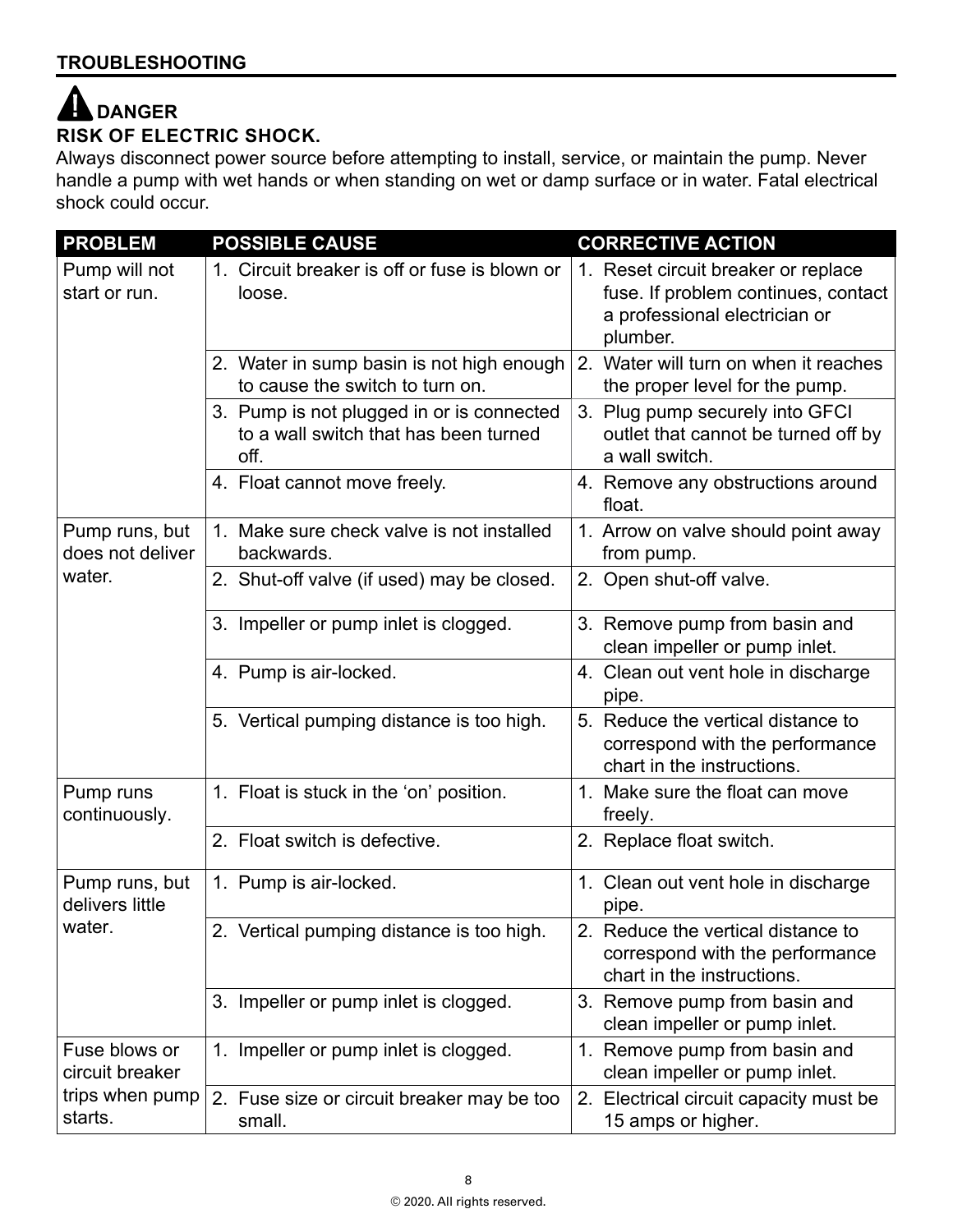#### 4 **DANGERRISK OF ELECTRIC SHOCK.**

Always disconnect power source before attempting to install, service, or maintain the pump. Never handle a pump with wet hands or when standing on wet or damp surface or in water. Fatal electrical shock could occur.

| <b>PROBLEM</b>                              | <b>POSSIBLE CAUSE</b>                                                                      | <b>CORRECTIVE ACTION</b>                                                                                                |
|---------------------------------------------|--------------------------------------------------------------------------------------------|-------------------------------------------------------------------------------------------------------------------------|
| Pump will not<br>start or run.              | 1. Circuit breaker is off or fuse is blown or<br>loose.                                    | 1. Reset circuit breaker or replace<br>fuse. If problem continues, contact<br>a professional electrician or<br>plumber. |
|                                             | 2. Water in sump basin is not high enough<br>to cause the switch to turn on.               | 2. Water will turn on when it reaches<br>the proper level for the pump.                                                 |
|                                             | 3. Pump is not plugged in or is connected<br>to a wall switch that has been turned<br>off. | 3. Plug pump securely into GFCI<br>outlet that cannot be turned off by<br>a wall switch.                                |
|                                             | 4. Float cannot move freely.                                                               | 4. Remove any obstructions around<br>float.                                                                             |
| Pump runs, but<br>does not deliver          | 1. Make sure check valve is not installed<br>backwards.                                    | 1. Arrow on valve should point away<br>from pump.                                                                       |
| water.                                      | 2. Shut-off valve (if used) may be closed.                                                 | 2. Open shut-off valve.                                                                                                 |
|                                             | 3. Impeller or pump inlet is clogged.                                                      | 3. Remove pump from basin and<br>clean impeller or pump inlet.                                                          |
|                                             | 4. Pump is air-locked.                                                                     | 4. Clean out vent hole in discharge<br>pipe.                                                                            |
|                                             | 5. Vertical pumping distance is too high.                                                  | 5. Reduce the vertical distance to<br>correspond with the performance<br>chart in the instructions.                     |
| Pump runs<br>continuously.                  | 1. Float is stuck in the 'on' position.                                                    | Make sure the float can move<br>$1_{-}$<br>freely.                                                                      |
|                                             | 2. Float switch is defective.                                                              | 2. Replace float switch.                                                                                                |
| Pump runs, but<br>delivers little<br>water. | 1. Pump is air-locked.                                                                     | 1. Clean out vent hole in discharge<br>pipe.                                                                            |
|                                             | 2. Vertical pumping distance is too high.                                                  | 2. Reduce the vertical distance to<br>correspond with the performance<br>chart in the instructions.                     |
|                                             | 3. Impeller or pump inlet is clogged.                                                      | 3. Remove pump from basin and<br>clean impeller or pump inlet.                                                          |
| Fuse blows or<br>circuit breaker            | 1. Impeller or pump inlet is clogged.                                                      | 1. Remove pump from basin and<br>clean impeller or pump inlet.                                                          |
| trips when pump<br>starts.                  | 2. Fuse size or circuit breaker may be too<br>small.                                       | 2. Electrical circuit capacity must be<br>15 amps or higher.                                                            |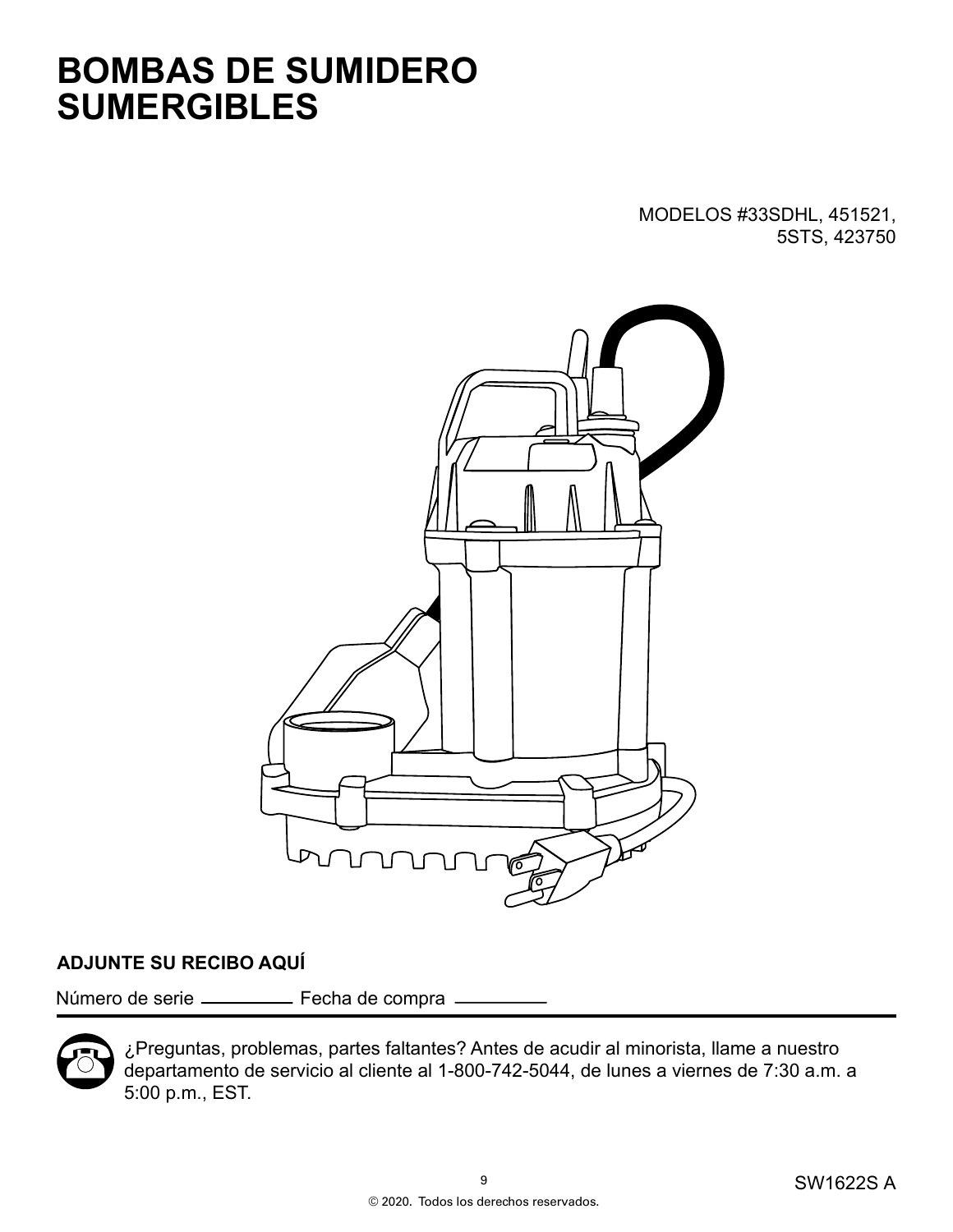## **BOMBAS DE SUMIDERO SUMERGIBLES**

MODELOS #33SDHL, 451521, 5STS, 423750



### **ADJUNTE SU RECIBO AQUÍ**

Número de serie \_\_\_\_\_\_\_\_\_ Fecha de compra \_



¿Preguntas, problemas, partes faltantes? Antes de acudir al minorista, llame a nuestro departamento de servicio al cliente al 1-800-742-5044, de lunes a viernes de 7:30 a.m. a 5:00 p.m., EST.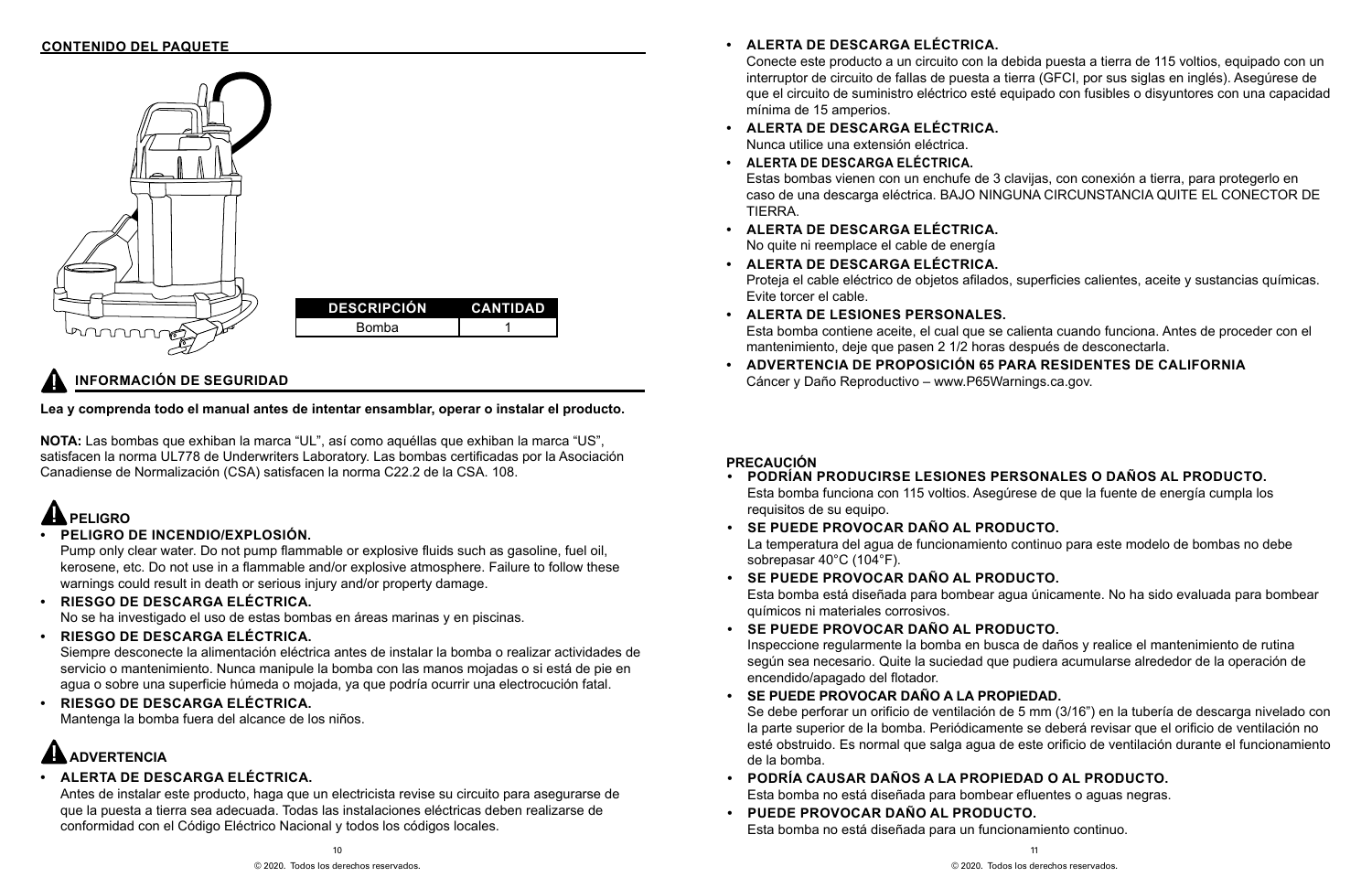11

© 2020. Todos los derechos reservados.

### **INFORMACIÓN DE SEGURIDAD**



#### **Lea y comprenda todo el manual antes de intentar ensamblar, operar o instalar el producto.**

**NOTA:** Las bombas que exhiban la marca "UL", así como aquéllas que exhiban la marca "US", satisfacen la norma UL778 de Underwriters Laboratory. Las bombas certificadas por la Asociación Canadiense de Normalización (CSA) satisfacen la norma C22.2 de la CSA. 108.

### **• ALERTA DE DESCARGA ELÉCTRICA.**

Antes de instalar este producto, haga que un electricista revise su circuito para asegurarse de que la puesta a tierra sea adecuada. Todas las instalaciones eléctricas deben realizarse de conformidad con el Código Eléctrico Nacional y todos los códigos locales.

## **PELIGRO**

### **• PELIGRO DE INCENDIO/EXPLOSIÓN.**

Pump only clear water. Do not pump flammable or explosive fluids such as gasoline, fuel oil, kerosene, etc. Do not use in a flammable and/or explosive atmosphere. Failure to follow these warnings could result in death or serious injury and/or property damage.

#### **• RIESGO DE DESCARGA ELÉCTRICA.**

No se ha investigado el uso de estas bombas en áreas marinas y en piscinas.

#### **• RIESGO DE DESCARGA ELÉCTRICA.**

Siempre desconecte la alimentación eléctrica antes de instalar la bomba o realizar actividades de servicio o mantenimiento. Nunca manipule la bomba con las manos mojadas o si está de pie en agua o sobre una superficie húmeda o mojada, ya que podría ocurrir una electrocución fatal.

**• RIESGO DE DESCARGA ELÉCTRICA.** Mantenga la bomba fuera del alcance de los niños.

## **AN ADVERTENCIA**

### **PRECAUCIÓN**

### **• PODRÍAN PRODUCIRSE LESIONES PERSONALES O DAÑOS AL PRODUCTO.**

Esta bomba funciona con 115 voltios. Asegúrese de que la fuente de energía cumpla los

La temperatura del agua de funcionamiento continuo para este modelo de bombas no debe

Esta bomba está diseñada para bombear agua únicamente. No ha sido evaluada para bombear

Inspeccione regularmente la bomba en busca de daños y realice el mantenimiento de rutina según sea necesario. Quite la suciedad que pudiera acumularse alrededor de la operación de

- requisitos de su equipo.
- **• SE PUEDE PROVOCAR DAÑO AL PRODUCTO.** sobrepasar 40°C (104°F).
- **• SE PUEDE PROVOCAR DAÑO AL PRODUCTO.** químicos ni materiales corrosivos.
- **• SE PUEDE PROVOCAR DAÑO AL PRODUCTO.** encendido/apagado del flotador.
- **• SE PUEDE PROVOCAR DAÑO A LA PROPIEDAD.** de la bomba.
- **• PODRÍA CAUSAR DAÑOS A LA PROPIEDAD O AL PRODUCTO.** Esta bomba no está diseñada para bombear efluentes o aguas negras.
- **• PUEDE PROVOCAR DAÑO AL PRODUCTO.** Esta bomba no está diseñada para un funcionamiento continuo.

Se debe perforar un orificio de ventilación de 5 mm (3/16") en la tubería de descarga nivelado con la parte superior de la bomba. Periódicamente se deberá revisar que el orificio de ventilación no esté obstruido. Es normal que salga agua de este orificio de ventilación durante el funcionamiento

Conecte este producto a un circuito con la debida puesta a tierra de 115 voltios, equipado con un interruptor de circuito de fallas de puesta a tierra (GFCI, por sus siglas en inglés). Asegúrese de que el circuito de suministro eléctrico esté equipado con fusibles o disyuntores con una capacidad

#### Estas bombas vienen con un enchufe de 3 clavijas, con conexión a tierra, para protegerlo en caso de una descarga eléctrica. BAJO NINGUNA CIRCUNSTANCIA QUITE EL CONECTOR DE

- **• ALERTA DE DESCARGA ELÉCTRICA.** Nunca utilice una extensión eléctrica.
- **• ALERTA DE DESCARGA ELÉCTRICA.** TIERRA.
- **• ALERTA DE DESCARGA ELÉCTRICA.** No quite ni reemplace el cable de energía
- **• ALERTA DE DESCARGA ELÉCTRICA.** Evite torcer el cable.
- **• ALERTA DE LESIONES PERSONALES.** mantenimiento, deje que pasen 2 1/2 horas después de desconectarla.
- **• ADVERTENCIA DE PROPOSICIÓN 65 PARA RESIDENTES DE CALIFORNIA** Cáncer y Daño Reproductivo – www.P65Warnings.ca.gov.

Proteja el cable eléctrico de objetos afilados, superficies calientes, aceite y sustancias químicas.

Esta bomba contiene aceite, el cual que se calienta cuando funciona. Antes de proceder con el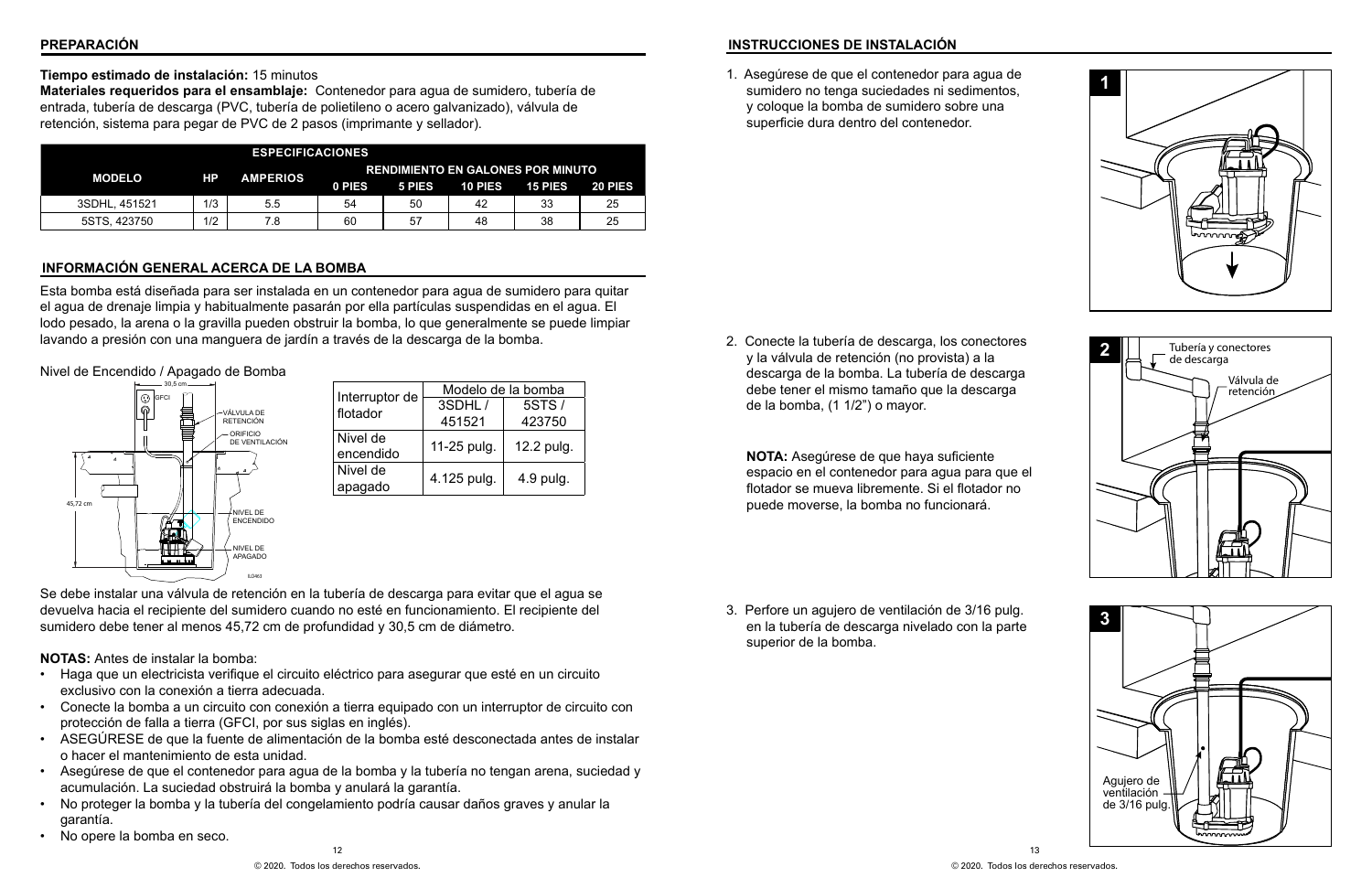12

#### **PREPARACIÓN**

#### **Tiempo estimado de instalación:** 15 minutos

**Materiales requeridos para el ensamblaje:** Contenedor para agua de sumidero, tubería de entrada, tubería de descarga (PVC, tubería de polietileno o acero galvanizado), válvula de retención, sistema para pegar de PVC de 2 pasos (imprimante y sellador).

#### **INSTRUCCIONES DE INSTALACIÓN**

1. Asegúrese de que el contenedor para agua de sumidero no tenga suciedades ni sedimentos, y coloque la bomba de sumidero sobre una superficie dura dentro del contenedor.



#### **INFORMACIÓN GENERAL ACERCA DE LA BOMBA**

Esta bomba está diseñada para ser instalada en un contenedor para agua de sumidero para quitar el agua de drenaje limpia y habitualmente pasarán por ella partículas suspendidas en el agua. El lodo pesado, la arena o la gravilla pueden obstruir la bomba, lo que generalmente se puede limpiar lavando a presión con una manguera de jardín a través de la descarga de la bomba.

#### Nivel de Encendido / Apagado de Bomba



Se debe instalar una válvula de retención en la tubería de descarga para evitar que el agua se devuelva hacia el recipiente del sumidero cuando no esté en funcionamiento. El recipiente del sumidero debe tener al menos 45,72 cm de profundidad y 30,5 cm de diámetro.

**NOTAS:** Antes de instalar la bomba:

- Haga que un electricista verifique el circuito eléctrico para asegurar que esté en un circuito exclusivo con la conexión a tierra adecuada.
- Conecte la bomba a un circuito con conexión a tierra equipado con un interruptor de circuito con protección de falla a tierra (GFCI, por sus siglas en inglés).
- ASEGÚRESE de que la fuente de alimentación de la bomba esté desconectada antes de instalar o hacer el mantenimiento de esta unidad.
- Asegúrese de que el contenedor para agua de la bomba y la tubería no tengan arena, suciedad y acumulación. La suciedad obstruirá la bomba y anulará la garantía.
- No proteger la bomba y la tubería del congelamiento podría causar daños graves y anular la garantía.
- No opere la bomba en seco.

2. Conecte la tubería de descarga, los conectores y la válvula de retención (no provista) a la descarga de la bomba. La tubería de descarga debe tener el mismo tamaño que la descarga de la bomba, (1 1/2") o mayor.

**NOTA:** Asegúrese de que haya suficiente espacio en el contenedor para agua para que el flotador se mueva libremente. Si el flotador no puede moverse, la bomba no funcionará.

3. Perfore un agujero de ventilación de 3/16 pulg. en la tubería de descarga nivelado con la parte superior de la bomba.







| <b>ESPECIFICACIONES</b> |           |                                                             |        |        |                |                |         |
|-------------------------|-----------|-------------------------------------------------------------|--------|--------|----------------|----------------|---------|
| <b>MODELO</b>           | <b>HP</b> | <b>RENDIMIENTO EN GALONES POR MINUTO</b><br><b>AMPERIOS</b> |        |        |                |                |         |
|                         |           |                                                             | 0 PIES | 5 PIES | <b>10 PIES</b> | <b>15 PIES</b> | 20 PIES |
| 3SDHL, 451521           | 1/3       | 5.5                                                         | 54     | 50     | 42             | 33             | 25      |
| 5STS, 423750            | 1/2       | 7.8                                                         | 60     | 57     | 48             | 38             | 25      |

|                | Modelo de la bomba |            |  |  |  |
|----------------|--------------------|------------|--|--|--|
| Interruptor de | 3SDHL/             | 5STS/      |  |  |  |
| flotador       | 451521             | 423750     |  |  |  |
| Nivel de       |                    | 12.2 pulg. |  |  |  |
| encendido      | 11-25 pulg.        |            |  |  |  |
| Nivel de       |                    | 4.9 pulg.  |  |  |  |
| apagado        | 4.125 pulg.        |            |  |  |  |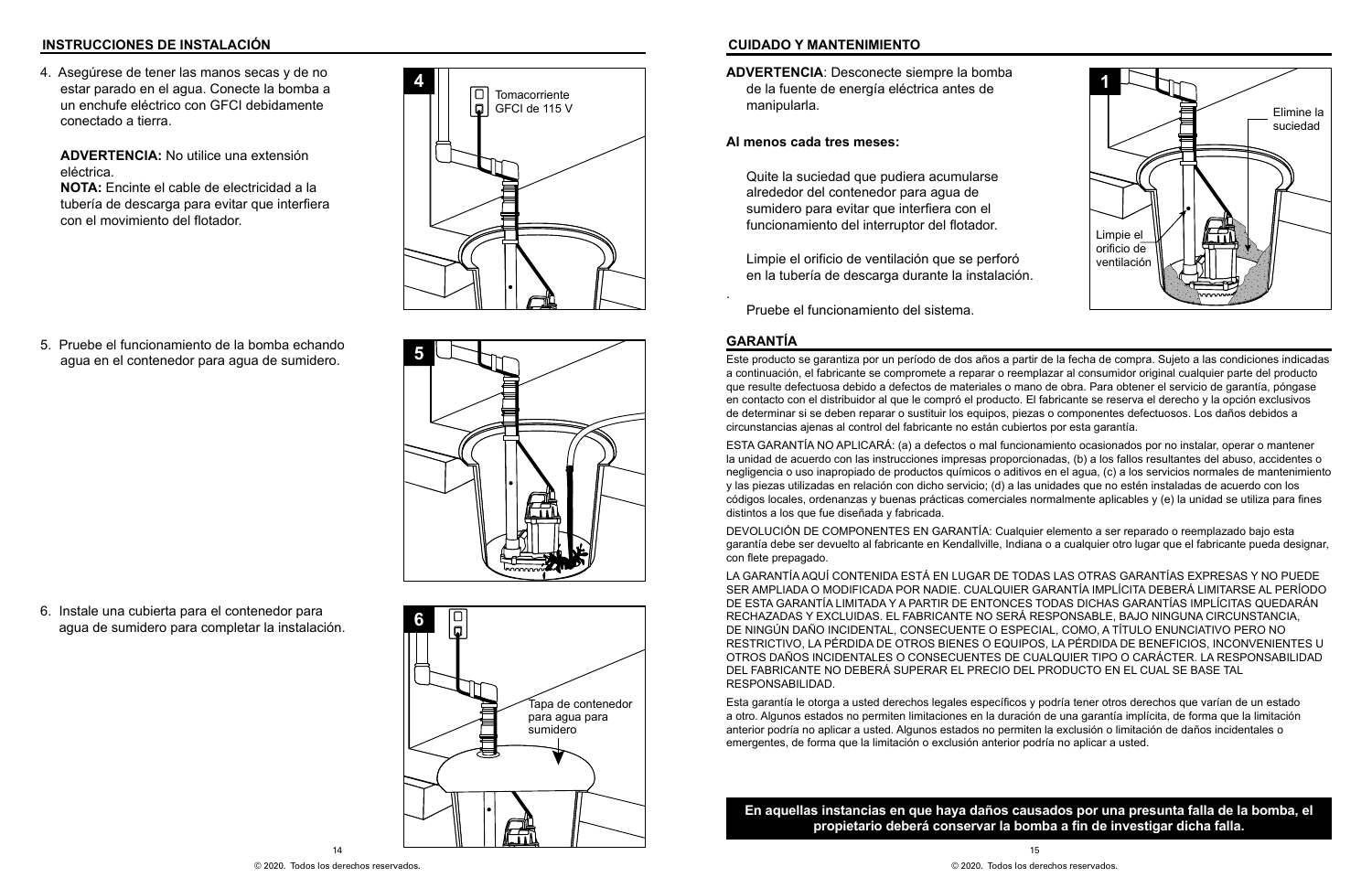4. Asegúrese de tener las manos secas y de no estar parado en el agua. Conecte la bomba a un enchufe eléctrico con GFCI debidamente conectado a tierra.

**ADVERTENCIA:** No utilice una extensión eléctrica.

**NOTA:** Encinte el cable de electricidad a la tubería de descarga para evitar que interfiera con el movimiento del flotador.

5. Pruebe el funcionamiento de la bomba echando agua en el contenedor para agua de sumidero.

6. Instale una cubierta para el contenedor para agua de sumidero para completar la instalación.







#### **INSTRUCCIONES DE INSTALACIÓN CUIDADO Y MANTENIMIENTO**

**ADVERTENCIA**: Desconecte siempre la bomba de la fuente de energía eléctrica antes de manipularla.

#### **Al menos cada tres meses:**

Quite la suciedad que pudiera acumularse alrededor del contenedor para agua de sumidero para evitar que interfiera con el funcionamiento del interruptor del flotador.

Limpie el orificio de ventilación que se perforó en la tubería de descarga durante la instalación.

.

Pruebe el funcionamiento del sistema.



#### **GARANTÍA**

Este producto se garantiza por un período de dos años a partir de la fecha de compra. Sujeto a las condiciones indicadas a continuación, el fabricante se compromete a reparar o reemplazar al consumidor original cualquier parte del producto que resulte defectuosa debido a defectos de materiales o mano de obra. Para obtener el servicio de garantía, póngase en contacto con el distribuidor al que le compró el producto. El fabricante se reserva el derecho y la opción exclusivos de determinar si se deben reparar o sustituir los equipos, piezas o componentes defectuosos. Los daños debidos a circunstancias ajenas al control del fabricante no están cubiertos por esta garantía.

ESTA GARANTÍA NO APLICARÁ: (a) a defectos o mal funcionamiento ocasionados por no instalar, operar o mantener la unidad de acuerdo con las instrucciones impresas proporcionadas, (b) a los fallos resultantes del abuso, accidentes o negligencia o uso inapropiado de productos químicos o aditivos en el agua, (c) a los servicios normales de mantenimiento y las piezas utilizadas en relación con dicho servicio; (d) a las unidades que no estén instaladas de acuerdo con los códigos locales, ordenanzas y buenas prácticas comerciales normalmente aplicables y (e) la unidad se utiliza para fines distintos a los que fue diseñada y fabricada.

DEVOLUCIÓN DE COMPONENTES EN GARANTÍA: Cualquier elemento a ser reparado o reemplazado bajo esta garantía debe ser devuelto al fabricante en Kendallville, Indiana o a cualquier otro lugar que el fabricante pueda designar, con flete prepagado.

LA GARANTÍA AQUÍ CONTENIDA ESTÁ EN LUGAR DE TODAS LAS OTRAS GARANTÍAS EXPRESAS Y NO PUEDE SER AMPLIADA O MODIFICADA POR NADIE. CUALQUIER GARANTÍA IMPLÍCITA DEBERÁ LIMITARSE AL PERÍODO DE ESTA GARANTÍA LIMITADA Y A PARTIR DE ENTONCES TODAS DICHAS GARANTÍAS IMPLÍCITAS QUEDARÁN RECHAZADAS Y EXCLUIDAS. EL FABRICANTE NO SERÁ RESPONSABLE, BAJO NINGUNA CIRCUNSTANCIA, DE NINGÚN DAÑO INCIDENTAL, CONSECUENTE O ESPECIAL, COMO, A TÍTULO ENUNCIATIVO PERO NO RESTRICTIVO, LA PÉRDIDA DE OTROS BIENES O EQUIPOS, LA PÉRDIDA DE BENEFICIOS, INCONVENIENTES U OTROS DAÑOS INCIDENTALES O CONSECUENTES DE CUALQUIER TIPO O CARÁCTER. LA RESPONSABILIDAD DEL FABRICANTE NO DEBERÁ SUPERAR EL PRECIO DEL PRODUCTO EN EL CUAL SE BASE TAL RESPONSABILIDAD.

Esta garantía le otorga a usted derechos legales específicos y podría tener otros derechos que varían de un estado a otro. Algunos estados no permiten limitaciones en la duración de una garantía implícita, de forma que la limitación anterior podría no aplicar a usted. Algunos estados no permiten la exclusión o limitación de daños incidentales o emergentes, de forma que la limitación o exclusión anterior podría no aplicar a usted.

#### **En aquellas instancias en que haya daños causados por una presunta falla de la bomba, el propietario deberá conservar la bomba a fin de investigar dicha falla.**